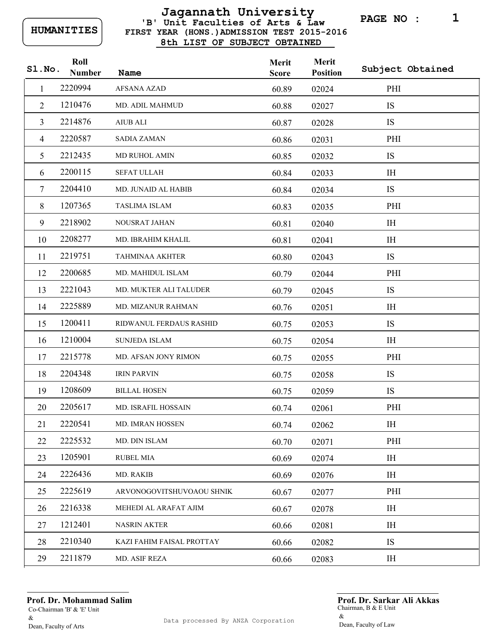## **FIRST YEAR (HONS.)ADMISSION TEST 2015-2016 8th LIST OF SUBJECT OBTAINED 'B' Unit Faculties of Arts & Law Jagannath University**

**PAGE NO : 1**

| S1.No. | Roll<br><b>Number</b> | Name                          | Merit<br><b>Score</b> | Merit<br><b>Position</b> | Subject Obtained |
|--------|-----------------------|-------------------------------|-----------------------|--------------------------|------------------|
| 1      | 2220994               | <b>AFSANA AZAD</b>            | 60.89                 | 02024                    | PHI              |
| 2      | 1210476               | MD. ADIL MAHMUD               | 60.88                 | 02027                    | IS               |
| 3      | 2214876               | <b>AIUB ALI</b>               | 60.87                 | 02028                    | IS               |
| 4      | 2220587               | <b>SADIA ZAMAN</b>            | 60.86                 | 02031                    | PHI              |
| 5      | 2212435               | MD RUHOL AMIN                 | 60.85                 | 02032                    | IS               |
| 6      | 2200115               | <b>SEFAT ULLAH</b>            | 60.84                 | 02033                    | IH               |
| 7      | 2204410               | <b>MD. JUNAID AL HABIB</b>    | 60.84                 | 02034                    | IS               |
| 8      | 1207365               | TASLIMA ISLAM                 | 60.83                 | 02035                    | PHI              |
| 9      | 2218902               | NOUSRAT JAHAN                 | 60.81                 | 02040                    | IH               |
| 10     | 2208277               | MD. IBRAHIM KHALIL            | 60.81                 | 02041                    | IH               |
| 11     | 2219751               | <b>TAHMINAA AKHTER</b>        | 60.80                 | 02043                    | IS               |
| 12     | 2200685               | MD. MAHIDUL ISLAM             | 60.79                 | 02044                    | PHI              |
| 13     | 2221043               | <b>MD. MUKTER ALI TALUDER</b> | 60.79                 | 02045                    | IS               |
| 14     | 2225889               | MD. MIZANUR RAHMAN            | 60.76                 | 02051                    | IH               |
| 15     | 1200411               | RIDWANUL FERDAUS RASHID       | 60.75                 | 02053                    | IS               |
| 16     | 1210004               | <b>SUNJEDA ISLAM</b>          | 60.75                 | 02054                    | IH               |
| 17     | 2215778               | MD. AFSAN JONY RIMON          | 60.75                 | 02055                    | PHI              |
| 18     | 2204348               | <b>IRIN PARVIN</b>            | 60.75                 | 02058                    | IS               |
| 19     | 1208609               | <b>BILLAL HOSEN</b>           | 60.75                 | 02059                    | IS               |
| 20     | 2205617               | <b>MD. ISRAFIL HOSSAIN</b>    | 60.74                 | 02061                    | PHI              |
| 21     | 2220541               | MD. IMRAN HOSSEN              | 60.74                 | 02062                    | IH               |
| 22     | 2225532               | MD. DIN ISLAM                 | 60.70                 | 02071                    | PHI              |
| 23     | 1205901               | <b>RUBEL MIA</b>              | 60.69                 | 02074                    | IH               |
| 24     | 2226436               | MD. RAKIB                     | 60.69                 | 02076                    | IH               |
| 25     | 2225619               | ARVONOGOVITSHUVOAOU SHNIK     | 60.67                 | 02077                    | PHI              |
| 26     | 2216338               | MEHEDI AL ARAFAT AJIM         | 60.67                 | 02078                    | IH               |
| 27     | 1212401               | <b>NASRIN AKTER</b>           | 60.66                 | 02081                    | IH               |
| 28     | 2210340               | KAZI FAHIM FAISAL PROTTAY     | 60.66                 | 02082                    | IS               |
| 29     | 2211879               | MD. ASIF REZA                 | 60.66                 | 02083                    | IH               |

**Prof. Dr. Mohammad Salim**

Co-Chairman 'B' & 'E' Unit & Dean, Faculty of Arts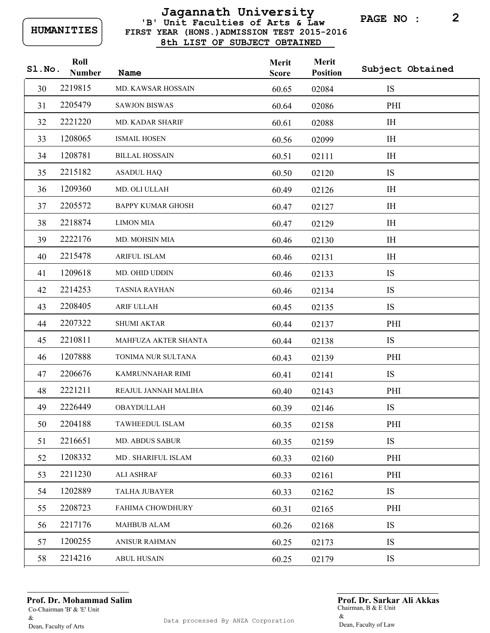## **FIRST YEAR (HONS.)ADMISSION TEST 2015-2016 8th LIST OF SUBJECT OBTAINED 'B' Unit Faculties of Arts & Law Jagannath University**

**PAGE NO : 2**

| Sl.No. | Roll<br><b>Number</b> | Name                     | Merit<br><b>Score</b> | Merit<br><b>Position</b> | Subject Obtained |
|--------|-----------------------|--------------------------|-----------------------|--------------------------|------------------|
| 30     | 2219815               | MD. KAWSAR HOSSAIN       | 60.65                 | 02084                    | IS               |
| 31     | 2205479               | <b>SAWJON BISWAS</b>     | 60.64                 | 02086                    | PHI              |
| 32     | 2221220               | <b>MD. KADAR SHARIF</b>  | 60.61                 | 02088                    | <b>IH</b>        |
| 33     | 1208065               | <b>ISMAIL HOSEN</b>      | 60.56                 | 02099                    | <b>IH</b>        |
| 34     | 1208781               | <b>BILLAL HOSSAIN</b>    | 60.51                 | 02111                    | IH               |
| 35     | 2215182               | <b>ASADUL HAQ</b>        | 60.50                 | 02120                    | <b>IS</b>        |
| 36     | 1209360               | MD. OLI ULLAH            | 60.49                 | 02126                    | <b>IH</b>        |
| 37     | 2205572               | <b>BAPPY KUMAR GHOSH</b> | 60.47                 | 02127                    | <b>IH</b>        |
| 38     | 2218874               | <b>LIMON MIA</b>         | 60.47                 | 02129                    | IH               |
| 39     | 2222176               | MD. MOHSIN MIA           | 60.46                 | 02130                    | IH               |
| 40     | 2215478               | <b>ARIFUL ISLAM</b>      | 60.46                 | 02131                    | IH               |
| 41     | 1209618               | MD. OHID UDDIN           | 60.46                 | 02133                    | <b>IS</b>        |
| 42     | 2214253               | <b>TASNIA RAYHAN</b>     | 60.46                 | 02134                    | <b>IS</b>        |
| 43     | 2208405               | <b>ARIF ULLAH</b>        | 60.45                 | 02135                    | IS               |
| 44     | 2207322               | <b>SHUMI AKTAR</b>       | 60.44                 | 02137                    | PHI              |
| 45     | 2210811               | MAHFUZA AKTER SHANTA     | 60.44                 | 02138                    | <b>IS</b>        |
| 46     | 1207888               | TONIMA NUR SULTANA       | 60.43                 | 02139                    | PHI              |
| 47     | 2206676               | KAMRUNNAHAR RIMI         | 60.41                 | 02141                    | <b>IS</b>        |
| 48     | 2221211               | REAJUL JANNAH MALIHA     | 60.40                 | 02143                    | PHI              |
| 49     | 2226449               | OBAYDULLAH               | 60.39                 | 02146                    | <b>IS</b>        |
| 50     | 2204188               | TAWHEEDUL ISLAM          | 60.35                 | 02158                    | PHI              |
| 51     | 2216651               | MD. ABDUS SABUR          | 60.35                 | 02159                    | <b>IS</b>        |
| 52     | 1208332               | MD. SHARIFUL ISLAM       | 60.33                 | 02160                    | PHI              |
| 53     | 2211230               | <b>ALI ASHRAF</b>        | 60.33                 | 02161                    | PHI              |
| 54     | 1202889               | <b>TALHA JUBAYER</b>     | 60.33                 | 02162                    | <b>IS</b>        |
| 55     | 2208723               | <b>FAHIMA CHOWDHURY</b>  | 60.31                 | 02165                    | PHI              |
| 56     | 2217176               | <b>MAHBUB ALAM</b>       | 60.26                 | 02168                    | <b>IS</b>        |
| 57     | 1200255               | <b>ANISUR RAHMAN</b>     | 60.25                 | 02173                    | <b>IS</b>        |
| 58     | 2214216               | <b>ABUL HUSAIN</b>       | 60.25                 | 02179                    | IS               |

**Prof. Dr. Mohammad Salim**

Co-Chairman 'B' & 'E' Unit & Dean, Faculty of Arts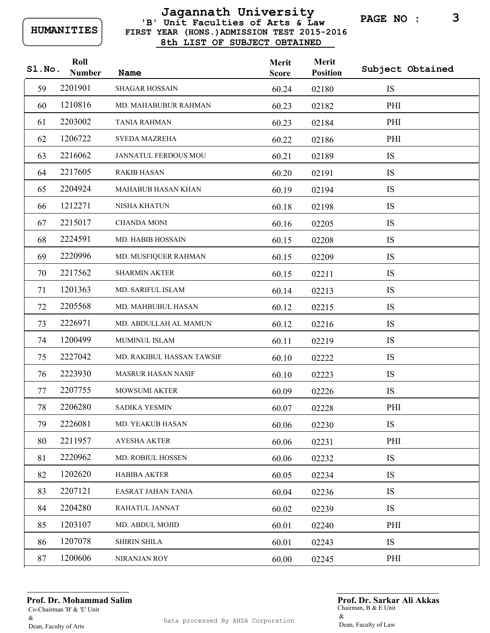## **FIRST YEAR (HONS.)ADMISSION TEST 2015-2016 8th LIST OF SUBJECT OBTAINED 'B' Unit Faculties of Arts & Law Jagannath University**

**PAGE NO : 3**

| Sl.No. | Roll<br><b>Number</b> | Name                      | Merit<br><b>Score</b> | Merit<br><b>Position</b> | Subject Obtained |
|--------|-----------------------|---------------------------|-----------------------|--------------------------|------------------|
| 59     | 2201901               | <b>SHAGAR HOSSAIN</b>     | 60.24                 | 02180                    | IS               |
| 60     | 1210816               | MD. MAHABUBUR RAHMAN      | 60.23                 | 02182                    | PHI              |
| 61     | 2203002               | <b>TANIA RAHMAN</b>       | 60.23                 | 02184                    | PHI              |
| 62     | 1206722               | <b>SYEDA MAZREHA</b>      | 60.22                 | 02186                    | PHI              |
| 63     | 2216062               | JANNATUL FERDOUS MOU      | 60.21                 | 02189                    | IS               |
| 64     | 2217605               | <b>RAKIB HASAN</b>        | 60.20                 | 02191                    | IS               |
| 65     | 2204924               | MAHABUB HASAN KHAN        | 60.19                 | 02194                    | IS               |
| 66     | 1212271               | <b>NISHA KHATUN</b>       | 60.18                 | 02198                    | IS               |
| 67     | 2215017               | <b>CHANDA MONI</b>        | 60.16                 | 02205                    | IS               |
| 68     | 2224591               | MD. HABIB HOSSAIN         | 60.15                 | 02208                    | IS               |
| 69     | 2220996               | MD. MUSFIQUER RAHMAN      | 60.15                 | 02209                    | IS               |
| 70     | 2217562               | <b>SHARMIN AKTER</b>      | 60.15                 | 02211                    | IS               |
| 71     | 1201363               | MD. SARIFUL ISLAM         | 60.14                 | 02213                    | IS               |
| 72     | 2205568               | MD. MAHBUBUL HASAN        | 60.12                 | 02215                    | IS               |
| 73     | 2226971               | MD. ABDULLAH AL MAMUN     | 60.12                 | 02216                    | IS               |
| 74     | 1200499               | MUMINUL ISLAM             | 60.11                 | 02219                    | IS               |
| 75     | 2227042               | MD. RAKIBUL HASSAN TAWSIF | 60.10                 | 02222                    | IS               |
| 76     | 2223930               | <b>MASRUR HASAN NASIF</b> | 60.10                 | 02223                    | IS               |
| 77     | 2207755               | MOWSUMI AKTER             | 60.09                 | 02226                    | IS               |
| 78     | 2206280               | <b>SADIKA YESMIN</b>      | 60.07                 | 02228                    | PHI              |
| 79     | 2226081               | MD. YEAKUB HASAN          | 60.06                 | 02230                    | IS               |
| 80     | 2211957               | <b>AYESHA AKTER</b>       | 60.06                 | 02231                    | PHI              |
| 81     | 2220962               | MD. ROBIUL HOSSEN         | 60.06                 | 02232                    | IS               |
| 82     | 1202620               | <b>HABIBA AKTER</b>       | 60.05                 | 02234                    | IS               |
| 83     | 2207121               | EASRAT JAHAN TANIA        | 60.04                 | 02236                    | IS               |
| 84     | 2204280               | RAHATUL JANNAT            | 60.02                 | 02239                    | IS               |
| 85     | 1203107               | MD. ABDUL MOJID           | 60.01                 | 02240                    | PHI              |
| 86     | 1207078               | <b>SHIRIN SHILA</b>       | 60.01                 | 02243                    | IS               |
| 87     | 1200606               | NIRANJAN ROY              | 60.00                 | 02245                    | PHI              |

**Prof. Dr. Mohammad Salim**

Co-Chairman 'B' & 'E' Unit & Dean, Faculty of Arts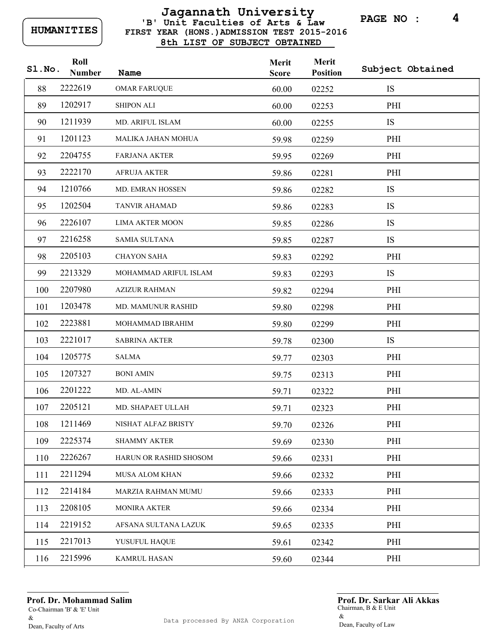### **FIRST YEAR (HONS.)ADMISSION TEST 2015-2016 8th LIST OF SUBJECT OBTAINED 'B' Unit Faculties of Arts & Law Jagannath University**

**PAGE NO : 4**

| Sl.No. | Roll<br><b>Number</b> | Name                   | Merit<br><b>Score</b> | Merit<br><b>Position</b> | Subject Obtained |
|--------|-----------------------|------------------------|-----------------------|--------------------------|------------------|
| 88     | 2222619               | <b>OMAR FARUQUE</b>    | 60.00                 | 02252                    | <b>IS</b>        |
| 89     | 1202917               | <b>SHIPON ALI</b>      | 60.00                 | 02253                    | PHI              |
| 90     | 1211939               | MD. ARIFUL ISLAM       | 60.00                 | 02255                    | <b>IS</b>        |
| 91     | 1201123               | MALIKA JAHAN MOHUA     | 59.98                 | 02259                    | PHI              |
| 92     | 2204755               | <b>FARJANA AKTER</b>   | 59.95                 | 02269                    | PHI              |
| 93     | 2222170               | <b>AFRUJA AKTER</b>    | 59.86                 | 02281                    | PHI              |
| 94     | 1210766               | MD. EMRAN HOSSEN       | 59.86                 | 02282                    | IS               |
| 95     | 1202504               | <b>TANVIR AHAMAD</b>   | 59.86                 | 02283                    | IS               |
| 96     | 2226107               | <b>LIMA AKTER MOON</b> | 59.85                 | 02286                    | IS               |
| 97     | 2216258               | SAMIA SULTANA          | 59.85                 | 02287                    | <b>IS</b>        |
| 98     | 2205103               | <b>CHAYON SAHA</b>     | 59.83                 | 02292                    | PHI              |
| 99     | 2213329               | MOHAMMAD ARIFUL ISLAM  | 59.83                 | 02293                    | IS               |
| 100    | 2207980               | <b>AZIZUR RAHMAN</b>   | 59.82                 | 02294                    | PHI              |
| 101    | 1203478               | MD. MAMUNUR RASHID     | 59.80                 | 02298                    | PHI              |
| 102    | 2223881               | MOHAMMAD IBRAHIM       | 59.80                 | 02299                    | PHI              |
| 103    | 2221017               | <b>SABRINA AKTER</b>   | 59.78                 | 02300                    | <b>IS</b>        |
| 104    | 1205775               | <b>SALMA</b>           | 59.77                 | 02303                    | PHI              |
| 105    | 1207327               | <b>BONI AMIN</b>       | 59.75                 | 02313                    | PHI              |
| 106    | 2201222               | MD. AL-AMIN            | 59.71                 | 02322                    | PHI              |
| 107    | 2205121               | MD. SHAPAET ULLAH      | 59.71                 | 02323                    | PHI              |
| 108    | 1211469               | NISHAT ALFAZ BRISTY    | 59.70                 | 02326                    | PHI              |
| 109    | 2225374               | <b>SHAMMY AKTER</b>    | 59.69                 | 02330                    | PHI              |
| 110    | 2226267               | HARUN OR RASHID SHOSOM | 59.66                 | 02331                    | PHI              |
| 111    | 2211294               | <b>MUSA ALOM KHAN</b>  | 59.66                 | 02332                    | PHI              |
| 112    | 2214184               | MARZIA RAHMAN MUMU     | 59.66                 | 02333                    | PHI              |
| 113    | 2208105               | <b>MONIRA AKTER</b>    | 59.66                 | 02334                    | PHI              |
| 114    | 2219152               | AFSANA SULTANA LAZUK   | 59.65                 | 02335                    | PHI              |
| 115    | 2217013               | YUSUFUL HAQUE          | 59.61                 | 02342                    | PHI              |
| 116    | 2215996               | <b>KAMRUL HASAN</b>    | 59.60                 | 02344                    | PHI              |

**Prof. Dr. Mohammad Salim**

Co-Chairman 'B' & 'E' Unit & Dean, Faculty of Arts